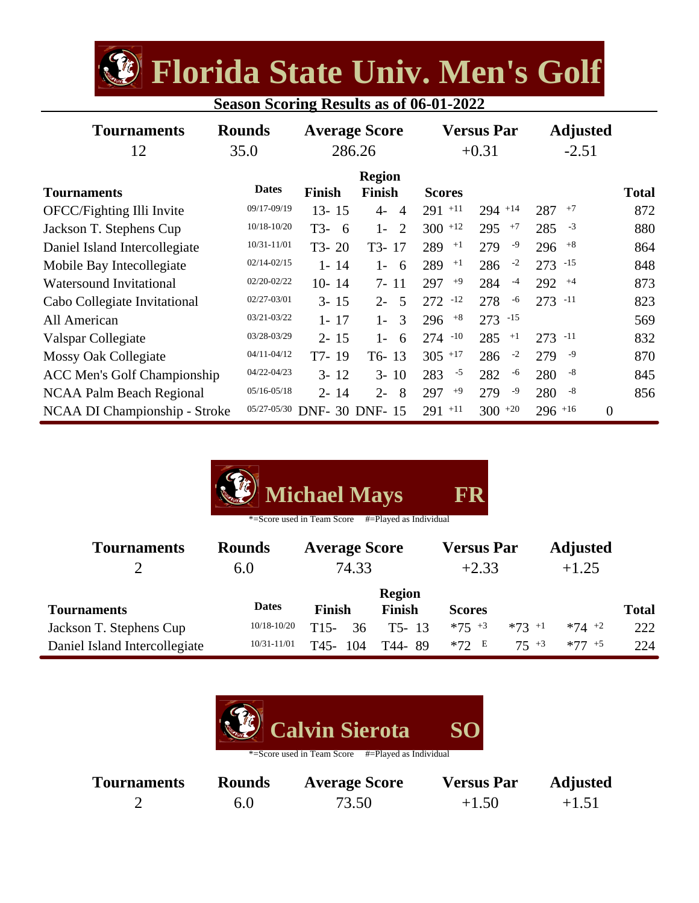**Florida State Univ. Men's Golf**

| <b>Season Scoring Results as of 06-01-2022</b> |  |  |  |
|------------------------------------------------|--|--|--|
|                                                |  |  |  |

| <b>Tournaments</b><br>12           | <b>Rounds</b><br>35.0 | <b>Average Score</b><br>286.26 |                                  | <b>Versus Par</b><br>$+0.31$ |             | <b>Adjusted</b><br>$-2.51$       |              |
|------------------------------------|-----------------------|--------------------------------|----------------------------------|------------------------------|-------------|----------------------------------|--------------|
| <b>Tournaments</b>                 | <b>Dates</b>          | <b>Finish</b>                  | <b>Region</b><br><b>Finish</b>   | <b>Scores</b>                |             |                                  | <b>Total</b> |
| OFCC/Fighting Illi Invite          | 09/17-09/19           | $13 - 15$                      | $\overline{4}$<br>$\overline{4}$ | $291 + 11$                   | $294$ +14   | $+7$<br>287                      | 872          |
| Jackson T. Stephens Cup            | 10/18-10/20           | T3-<br>- 6                     | $1-$<br>2                        | $300$ <sup>+12</sup>         | 295<br>$+7$ | $285 - 3$                        | 880          |
| Daniel Island Intercollegiate      | 10/31-11/01           | $T3-20$                        | T3-17                            | $289$ $+1$                   | 279<br>-9   | $296$ $+8$                       | 864          |
| Mobile Bay Intecollegiate          | $02/14 - 02/15$       | $1 - 14$                       | $1 -$<br>-6                      | 289<br>$+1$                  | $-2$<br>286 | $273 - 15$                       | 848          |
| <b>Watersound Invitational</b>     | 02/20-02/22           | $10 - 14$                      | $7 - 11$                         | 297<br>$+9$                  | $-4$<br>284 | $292 + 4$                        | 873          |
| Cabo Collegiate Invitational       | 02/27-03/01           | $3 - 15$                       | 5<br>$2 -$                       | $272 - 12$                   | 278<br>-6   | $273 - 11$                       | 823          |
| All American                       | 03/21-03/22           | $1 - 17$                       | 3<br>$1 -$                       | $296$ $+8$                   | $273 - 15$  |                                  | 569          |
| Valspar Collegiate                 | 03/28-03/29           | $2 - 15$                       | $1 -$<br>6                       | $274 - 10$                   | 285<br>$+1$ | $273 - 11$                       | 832          |
| <b>Mossy Oak Collegiate</b>        | $04/11 - 04/12$       | T7-19                          | $T6-13$                          | $305$ <sup>+17</sup>         | $-2$<br>286 | -9<br>279                        | 870          |
| <b>ACC Men's Golf Championship</b> | 04/22-04/23           | $3 - 12$                       | $3 - 10$                         | 283<br>$-5$                  | 282<br>-6   | $-8$<br>280                      | 845          |
| <b>NCAA Palm Beach Regional</b>    | $05/16 - 05/18$       | $2 - 14$                       | $2 -$<br>8                       | $+9$<br>297                  | -9<br>279   | -8<br>280                        | 856          |
| NCAA DI Championship - Stroke      | 05/27-05/30           | DNF- 30 DNF- 15                |                                  | $+11$<br>291                 | $300 + 20$  | $296$ <sup>+16</sup><br>$\theta$ |              |

| <b>Michael Mays</b><br>FR<br>#=Played as Individual<br>*=Score used in Team Score |                      |                               |                                |                              |           |                            |              |
|-----------------------------------------------------------------------------------|----------------------|-------------------------------|--------------------------------|------------------------------|-----------|----------------------------|--------------|
| <b>Tournaments</b><br>$\overline{2}$                                              | <b>Rounds</b><br>6.0 | <b>Average Score</b><br>74.33 |                                | <b>Versus Par</b><br>$+2.33$ |           | <b>Adjusted</b><br>$+1.25$ |              |
| <b>Tournaments</b>                                                                | <b>Dates</b>         | <b>Finish</b>                 | <b>Region</b><br><b>Finish</b> | <b>Scores</b>                |           |                            | <b>Total</b> |
| Jackson T. Stephens Cup                                                           | $10/18 - 10/20$      | 36<br>T <sub>15</sub> -       | $T5 - 13$                      | $*75 + 3$                    | $*73$ +1  | $*74$ +2                   | 222          |
| Daniel Island Intercollegiate                                                     | $10/31 - 11/01$      | T45-<br>104                   | T44-89                         | $*72$ E                      | $75^{+3}$ | $*77 + 5$                  | 224          |



| <b>Tournaments</b> | <b>Rounds</b> | <b>Average Score</b> | <b>Versus Par</b> | <b>Adjusted</b> |
|--------------------|---------------|----------------------|-------------------|-----------------|
|                    | 6.0           | 73.50                | $+1.50$           | $+1.51$         |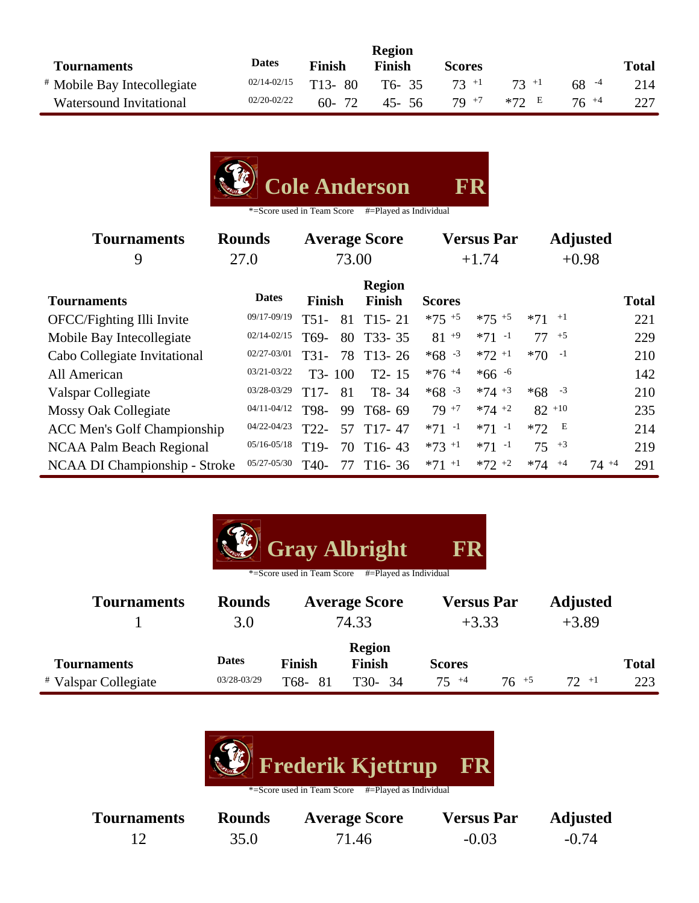|                                        |                 |               | <b>Region</b> |               |          |          |              |
|----------------------------------------|-----------------|---------------|---------------|---------------|----------|----------|--------------|
| <b>Tournaments</b>                     | <b>Dates</b>    | <b>Finish</b> | Finish        | <b>Scores</b> |          |          | <b>Total</b> |
| <sup>#</sup> Mobile Bay Intecollegiate | $02/14 - 02/15$ | $T13-80$      | $T6 - 35$     | $73 +1$       | $73 + 1$ | $68 - 4$ | 214          |
| Watersound Invitational                | 02/20-02/22     | $60 - 72$     | 45-56         | $79 + 7$      | $*72$ E  | $76 + 4$ |              |

| <b>Cole Anderson</b><br>FR<br>*=Score used in Team Score<br>#=Played as Individual |                 |                   |        |                                |                     |                     |            |                 |          |              |
|------------------------------------------------------------------------------------|-----------------|-------------------|--------|--------------------------------|---------------------|---------------------|------------|-----------------|----------|--------------|
| <b>Tournaments</b>                                                                 | <b>Rounds</b>   |                   |        | <b>Average Score</b>           |                     | <b>Versus Par</b>   |            | <b>Adjusted</b> |          |              |
| 9                                                                                  | 27.0            | 73.00             |        |                                | $+1.74$             |                     |            | $+0.98$         |          |              |
| <b>Tournaments</b>                                                                 | <b>Dates</b>    | <b>Finish</b>     |        | <b>Region</b><br><b>Finish</b> | <b>Scores</b>       |                     |            |                 |          | <b>Total</b> |
| OFCC/Fighting Illi Invite                                                          | 09/17-09/19     | $T51-$            | 81     | $T15 - 21$                     | $*75$ +5            | $*75 + 5$           | $*71$ +1   |                 |          | 221          |
| Mobile Bay Intecollegiate                                                          | 02/14-02/15     | T <sub>69</sub> - | 80     | $T33 - 35$                     | $81^{+9}$           | $*71 -1$            | 77         | $+5$            |          | 229          |
| Cabo Collegiate Invitational                                                       | 02/27-03/01     | $T31-$            | 78     | $T13 - 26$                     | $*68 - 3$           | $*72$ <sup>+1</sup> | $*70$      | $-1$            |          | 210          |
| All American                                                                       | 03/21-03/22     |                   | T3-100 | $T2 - 15$                      | $*76 + 4$           | $*66 - 6$           |            |                 |          | 142          |
| Valspar Collegiate                                                                 | 03/28-03/29     | T <sub>17</sub> - | 81     | T8-34                          | $*68 - 3$           | $*74 + 3$           | $*68 - 3$  |                 |          | 210          |
| <b>Mossy Oak Collegiate</b>                                                        | 04/11-04/12     | T98-              | 99     | T68-69                         | $79 + 7$            | $*74$ +2            | $82^{+10}$ |                 |          | 235          |
| <b>ACC Men's Golf Championship</b>                                                 | 04/22-04/23     | T <sub>22</sub> - | 57     | $T17-47$                       | $*71 -1$            | $*71 -1$            | $*72$      | E               |          | 214          |
| <b>NCAA Palm Beach Regional</b>                                                    | $05/16 - 05/18$ | T <sub>19</sub> - | 70     | $T16-43$                       | $*73$ <sup>+1</sup> | $*71 -1$            | 75         | $+3$            |          | 219          |
| <b>NCAA DI Championship - Stroke</b>                                               | 05/27-05/30     | T <sub>40</sub> - | 77     | $T16-36$                       | $*71$ <sup>+1</sup> | $*72 +2$            | $*74$      | $+4$            | $74 + 4$ | 291          |

| <b>Gray Albright</b><br>FR<br>#=Played as Individual<br>*=Score used in Team Score |               |               |                      |                   |           |                 |              |  |  |
|------------------------------------------------------------------------------------|---------------|---------------|----------------------|-------------------|-----------|-----------------|--------------|--|--|
| <b>Tournaments</b>                                                                 | <b>Rounds</b> |               | <b>Average Score</b> | <b>Versus Par</b> |           | <b>Adjusted</b> |              |  |  |
|                                                                                    | 3.0           |               | 74.33                | $+3.33$           |           | $+3.89$         |              |  |  |
|                                                                                    |               |               | <b>Region</b>        |                   |           |                 |              |  |  |
| <b>Tournaments</b>                                                                 | <b>Dates</b>  | <b>Finish</b> | <b>Finish</b>        | <b>Scores</b>     |           |                 | <b>Total</b> |  |  |
| <i>*</i> Valspar Collegiate                                                        | 03/28-03/29   | T68-<br>-81   | T30-34               | $75^{+4}$         | $76^{+5}$ | $72 + 1$        | 223          |  |  |



| <b>Tournaments</b> | <b>Rounds</b> | <b>Average Score</b> | <b>Versus Par</b> | <b>Adjusted</b> |
|--------------------|---------------|----------------------|-------------------|-----------------|
|                    | 35.0          | 71.46                | $-0.03$           | $-0.74$         |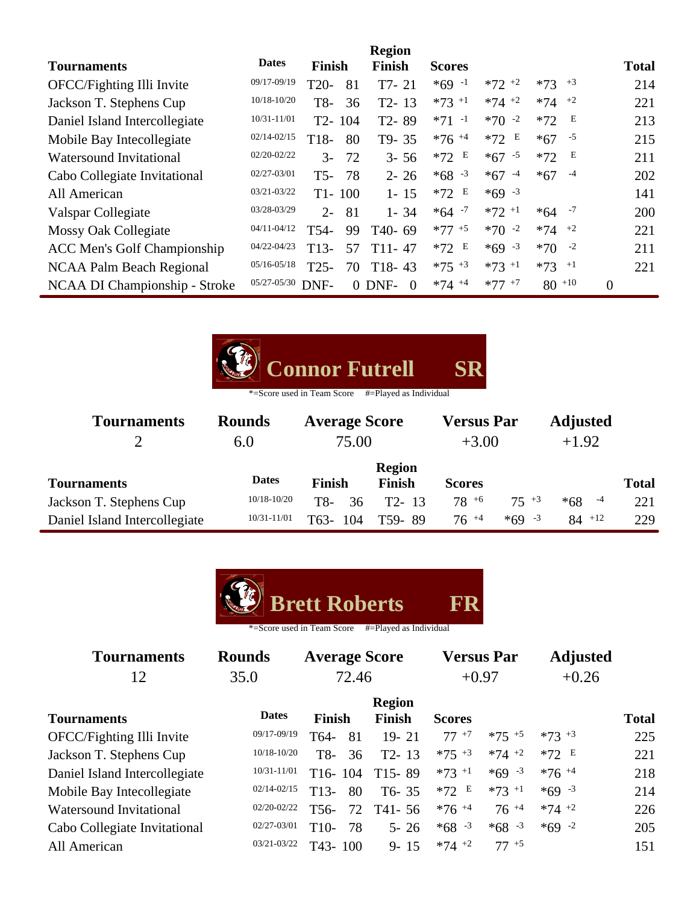|                                    |                 |                   |            | <b>Region</b>       |                     |               |               |                |              |
|------------------------------------|-----------------|-------------------|------------|---------------------|---------------------|---------------|---------------|----------------|--------------|
| <b>Tournaments</b>                 | <b>Dates</b>    | <b>Finish</b>     |            | <b>Finish</b>       | <b>Scores</b>       |               |               |                | <b>Total</b> |
| OFCC/Fighting Illi Invite          | 09/17-09/19     | $T20-$            | 81         | $T7-21$             | $*69 - 1$           | $*72$ +2      | $*73$ $*3$    |                | 214          |
| Jackson T. Stephens Cup            | $10/18 - 10/20$ | T8-               | 36         | $T2 - 13$           | $*73$ +1            | $*74$ +2      | $*74$ $*2$    |                | 221          |
| Daniel Island Intercollegiate      | 10/31-11/01     | $T2-$             | 104        | T <sub>2</sub> -89  | $*71 -1$            | $*70 -2$      | Е<br>$*72$    |                | 213          |
| Mobile Bay Intecollegiate          | $02/14 - 02/15$ | T <sub>18</sub> - | 80         | T9-35               | $*76$ <sup>+4</sup> | $*72 E$       | $-5$<br>$*67$ |                | 215          |
| <b>Watersound Invitational</b>     | $02/20 - 02/22$ | $3-$              | 72         | $3 - 56$            | E<br>$*72$          | $*67 - 5$     | Е<br>$*72$    |                | 211          |
| Cabo Collegiate Invitational       | 02/27-03/01     | $T5-$             | 78         | $2 - 26$            | $*68 - 3$           | $*67$<br>$-4$ | $-4$<br>$*67$ |                | 202          |
| All American                       | 03/21-03/22     |                   | $T1 - 100$ | $1 - 15$            | E<br>$*72$          | $*69 - 3$     |               |                | 141          |
| Valspar Collegiate                 | 03/28-03/29     | $2 -$             | 81         | $1 - 34$            | $*64 - 7$           | $*72 +1$      | $*64 - 7$     |                | 200          |
| Mossy Oak Collegiate               | $04/11 - 04/12$ | T <sub>54</sub> - | 99         | T <sub>40</sub> -69 | $*77 + 5$           | $*70 -2$      | $*74$ $*2$    |                | 221          |
| <b>ACC Men's Golf Championship</b> | 04/22-04/23     | $T13-$            | 57         | $T11 - 47$          | E<br>$*72$          | $*69 - 3$     | $*70 - 2$     |                | 211          |
| NCAA Palm Beach Regional           | $05/16 - 05/18$ | $T25-$            | 70         | $T18-43$            | $*75$ +3            | $*73 + 1$     | $*73$ +1      |                | 221          |
| NCAA DI Championship - Stroke      | 05/27-05/30     | DNF-              |            | $0$ DNF-<br>-0      | $*74 + 4$           | $*77$ +7      | $80^{+10}$    | $\overline{0}$ |              |

| Connor Futrell SR |  |
|-------------------|--|
|                   |  |

| <b>Tournaments</b>            | <b>Rounds</b>   | <b>Average Score</b>     |               | <b>Versus Par</b> |           | <b>Adjusted</b> |              |
|-------------------------------|-----------------|--------------------------|---------------|-------------------|-----------|-----------------|--------------|
|                               | 6.0             | 75.00                    |               | $+3.00$           |           | $+1.92$         |              |
|                               |                 |                          | <b>Region</b> |                   |           |                 |              |
| <b>Tournaments</b>            | <b>Dates</b>    | <b>Finish</b>            | <b>Finish</b> | <b>Scores</b>     |           |                 | <b>Total</b> |
| Jackson T. Stephens Cup       | $10/18 - 10/20$ | T8-<br>36                | $T2 - 13$     | $78^{+6}$         | $75 + 3$  | $-4$<br>$*68$   | 221          |
| Daniel Island Intercollegiate | 10/31-11/01     | T <sub>63</sub> -<br>104 | T59-89        | $76^{+4}$         | $*69 - 3$ | $84$ +12        | 229          |



| <b>Tournaments</b>             | <b>Rounds</b>   |                   | <b>Average Score</b>           |               | <b>Versus Par</b> | <b>Adjusted</b> |              |
|--------------------------------|-----------------|-------------------|--------------------------------|---------------|-------------------|-----------------|--------------|
| 12                             | 35.0            |                   | 72.46                          |               | $+0.97$           | $+0.26$         |              |
| <b>Tournaments</b>             | <b>Dates</b>    | <b>Finish</b>     | <b>Region</b><br><b>Finish</b> | <b>Scores</b> |                   |                 | <b>Total</b> |
| OFCC/Fighting Illi Invite      | 09/17-09/19     | T64-              | $19 - 21$<br>81                | $77+7$        | $*75 + 5$         | $*73 + 3$       | 225          |
| Jackson T. Stephens Cup        | $10/18 - 10/20$ | T8-               | 36<br>$T2 - 13$                | $*75 + 3$     | $*74$ +2          | $*72 E$         | 221          |
| Daniel Island Intercollegiate  | 10/31-11/01     | $T16-104$         | $T15-89$                       | $*73 + 1$     | $*69 - 3$         | $*76 + 4$       | 218          |
| Mobile Bay Intecollegiate      | $02/14 - 02/15$ | T <sub>13</sub> - | 80<br>$T6 - 35$                | $*72 E$       | $*73 +1$          | $*69 - 3$       | 214          |
| <b>Watersound Invitational</b> | 02/20-02/22     | T <sub>56</sub> - | 72<br>T41-56                   | $*76 + 4$     | $76^{+4}$         | $*74 + 2$       | 226          |
| Cabo Collegiate Invitational   | 02/27-03/01     | $T10-$            | 78<br>$5 - 26$                 | $*68 - 3$     | $*68 - 3$         | $*69 -2$        | 205          |
| All American                   | 03/21-03/22     | $T43 - 100$       | $9 - 15$                       | $*74 +2$      | $77+5$            |                 | 151          |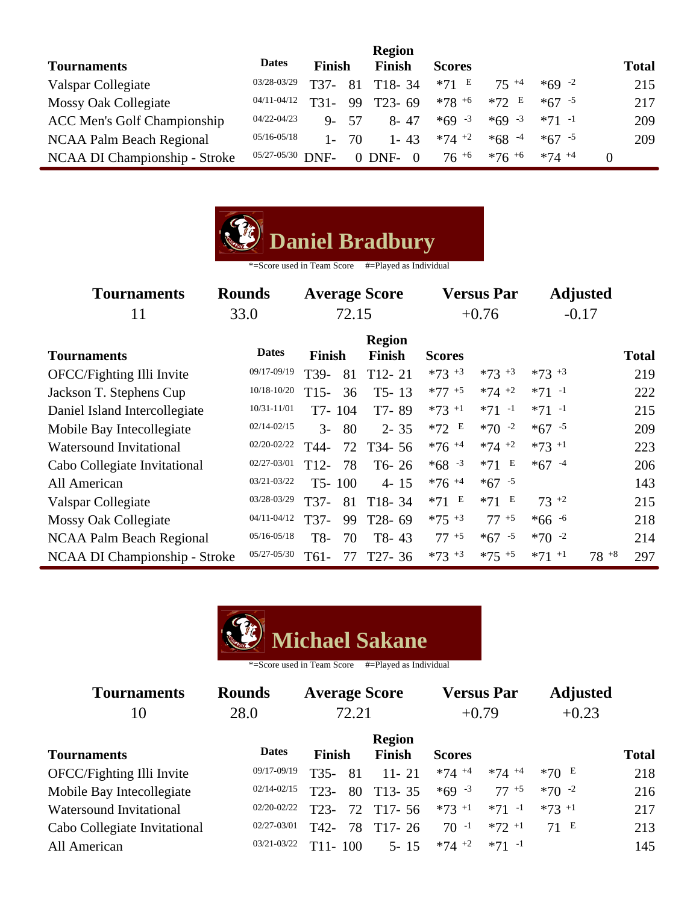|                                    |                      |               |      | <b>Region</b>        |               |           |           |              |
|------------------------------------|----------------------|---------------|------|----------------------|---------------|-----------|-----------|--------------|
| <b>Tournaments</b>                 | <b>Dates</b>         | <b>Finish</b> |      | Finish               | <b>Scores</b> |           |           | <b>Total</b> |
| Valspar Collegiate                 | 03/28-03/29          | T37-          | 81   | $T18-34$             | $*71$ E       | $75 + 4$  | $*69 - 2$ | 215          |
| Mossy Oak Collegiate               | 04/11-04/12          | T31-          | 99   | $T23 - 69$           | $*78 + 6$     | $*72 E$   | $*67 - 5$ | 217          |
| <b>ACC Men's Golf Championship</b> | 04/22-04/23          | $Q_{-}$       | - 57 | $8 - 47$             | $*69 - 3$     | $*69 - 3$ | $*71 -1$  | 209          |
| NCAA Palm Beach Regional           | $05/16 - 05/18$      |               | 70   | $1 - 43$             | $*74$ +2      | $*68 - 4$ | $*67 - 5$ | 209          |
| NCAA DI Championship - Stroke      | $05/27 - 05/30$ DNF- |               |      | $0$ DNF-<br>$\Omega$ | $76^{+6}$     | $*76 + 6$ | $*74 + 4$ |              |



| <b>Tournaments</b><br>11       | <b>Rounds</b><br>33.0 | <b>Average Score</b><br>72.15 |                                | <b>Versus Par</b><br>$+0.76$ |           | <b>Adjusted</b><br>$-0.17$ |                  |
|--------------------------------|-----------------------|-------------------------------|--------------------------------|------------------------------|-----------|----------------------------|------------------|
| <b>Tournaments</b>             | <b>Dates</b>          | <b>Finish</b>                 | <b>Region</b><br><b>Finish</b> | <b>Scores</b>                |           |                            | <b>Total</b>     |
| OFCC/Fighting Illi Invite      | 09/17-09/19           | T39-                          | $T12 - 21$<br>81               | $*73 + 3$                    | $*73 + 3$ | $*73 + 3$                  | 219              |
| Jackson T. Stephens Cup        | 10/18-10/20           | $T15-$                        | 36<br>$T5 - 13$                | $*77$ +5                     | $*74$ +2  | $*71 -1$                   | 222              |
| Daniel Island Intercollegiate  | 10/31-11/01           | T7-104                        | T7-89                          | $*73$ <sup>+1</sup>          | $*71 -1$  | $*71 -1$                   | 215              |
| Mobile Bay Intecollegiate      | $02/14 - 02/15$       | $3-$                          | 80<br>$2 - 35$                 | $*72 E$                      | $*70 -2$  | $*67 - 5$                  | 209              |
| <b>Watersound Invitational</b> | 02/20-02/22           | T44-                          | 72<br>T <sub>34</sub> -56      | $*76$ <sup>+4</sup>          | $*74$ +2  | $*73$ <sup>+1</sup>        | 223              |
| Cabo Collegiate Invitational   | 02/27-03/01           | $T12-$                        | 78<br>$T6-26$                  | $*68 - 3$                    | $*71 E$   | $*67 - 4$                  | 206              |
| All American                   | 03/21-03/22           | $T5-100$                      | $4 - 15$                       | $*76 + 4$                    | $*67 - 5$ |                            | 143              |
| Valspar Collegiate             | 03/28-03/29           | T37-                          | 81<br>$T18-34$                 | $*71$ E                      | $*71$ E   | $73^{+2}$                  | 215              |
| Mossy Oak Collegiate           | 04/11-04/12           | T37-                          | T28-69<br>99                   | $*75 + 3$                    | $77 + 5$  | $*66 - 6$                  | 218              |
| NCAA Palm Beach Regional       | $05/16 - 05/18$       | T8-                           | $T8-43$<br>70                  | $77^{+5}$                    | $*67 - 5$ | $*70 -2$                   | 214              |
| NCAA DI Championship - Stroke  | 05/27-05/30           | T61-                          | $T27 - 36$<br>77               | $*73 + 3$                    | $*75$ +5  | $*71$ <sup>+1</sup>        | $78^{+8}$<br>297 |



| <b>Tournaments</b>           | <b>Rounds</b>   | <b>Average Score</b> |                  | <b>Versus Par</b>   |           | <b>Adjusted</b> |              |
|------------------------------|-----------------|----------------------|------------------|---------------------|-----------|-----------------|--------------|
| 10                           | 28.0            | 72.21                |                  | $+0.79$             |           | $+0.23$         |              |
|                              |                 |                      | <b>Region</b>    |                     |           |                 |              |
| <b>Tournaments</b>           | <b>Dates</b>    | <b>Finish</b>        | <b>Finish</b>    | <b>Scores</b>       |           |                 | <b>Total</b> |
| OFCC/Fighting Illi Invite    | 09/17-09/19     | 81<br>$T35-$         | $11 - 21$        | $*74$ +4            | $*74 + 4$ | $*70E$          | 218          |
| Mobile Bay Intecollegiate    | $02/14 - 02/15$ | $T23-$               | $T13 - 35$<br>80 | $*69 - 3$           | $77+5$    | $*70 -2$        | 216          |
| Watersound Invitational      | 02/20-02/22     | T <sub>23</sub> -    | $T17 - 56$<br>72 | $*73$ <sup>+1</sup> | $*71 -1$  | $*73$ +1        | 217          |
| Cabo Collegiate Invitational | 02/27-03/01     | T42-                 | 78<br>$T17-26$   | $70 - 1$            | $*72 + 1$ | 71 E            | 213          |
| All American                 | $03/21 - 03/22$ | 100<br>$T11-$        | $5 - 15$         | $*74$ +2            | $*71 -1$  |                 | 145          |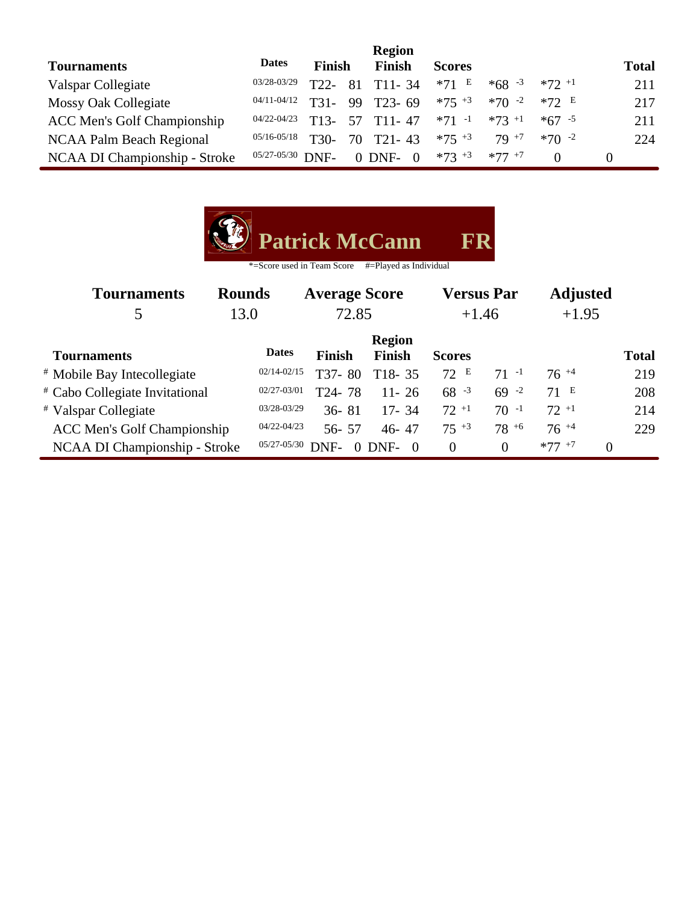|                                    |                      |                   |    | <b>Region</b>          |               |           |           |              |
|------------------------------------|----------------------|-------------------|----|------------------------|---------------|-----------|-----------|--------------|
| <b>Tournaments</b>                 | <b>Dates</b>         | <b>Finish</b>     |    | <b>Finish</b>          | <b>Scores</b> |           |           | <b>Total</b> |
| Valspar Collegiate                 | 03/28-03/29          | T22               | 81 | $T11 - 34$             | $*71 E$       | $*68 - 3$ | $*72 + 1$ | 211          |
| Mossy Oak Collegiate               | 04/11-04/12          | T31-              |    | 99 T <sub>23</sub> -69 | $*75 + 3$     | $*70 - 2$ | $*72 E$   | 217          |
| <b>ACC Men's Golf Championship</b> | 04/22-04/23          | $T13-$            |    | 57 T11-47              | $*71 -1$      | $*73$ +1  | $*67 - 5$ | 211          |
| NCAA Palm Beach Regional           | $05/16 - 05/18$      | T <sub>30</sub> - | 70 | $T21 - 43$             | $*75$ $+3$    | $79^{+7}$ | $*70 - 2$ | 224          |
| NCAA DI Championship - Stroke      | $05/27 - 05/30$ DNF- |                   |    | $0$ DNF-<br>$\Omega$   | $*73 + 3$     | $*77 + 7$ |           |              |

| <b>D</b> Patrick McCann | FR |
|-------------------------|----|
|                         |    |

| <b>Tournaments</b><br>5                   | <b>Rounds</b><br>13.0 | <b>Average Score</b><br>72.85 |                                | <b>Versus Par</b><br>$+1.46$ |                | <b>Adjusted</b><br>$+1.95$ |              |
|-------------------------------------------|-----------------------|-------------------------------|--------------------------------|------------------------------|----------------|----------------------------|--------------|
| <b>Tournaments</b>                        | <b>Dates</b>          | <b>Finish</b>                 | <b>Region</b><br><b>Finish</b> | <b>Scores</b>                |                |                            | <b>Total</b> |
| <sup>#</sup> Mobile Bay Intecollegiate    | $02/14 - 02/15$       | T37-80                        | $T18-35$                       | 72 E                         | $71 - 1$       | $76^{+4}$                  | 219          |
| <sup>#</sup> Cabo Collegiate Invitational | 02/27-03/01           | T24-78                        | $11 - 26$                      | $68 - 3$                     | $69 - 2$       | 71 E                       | 208          |
| <i>*</i> Valspar Collegiate               | 03/28-03/29           | $36 - 81$                     | $17 - 34$                      | $72 + 1$                     | $70 - 1$       | $72+1$                     | 214          |
| <b>ACC Men's Golf Championship</b>        | 04/22-04/23           | $56 - 57$                     | $46 - 47$                      | $75 + 3$                     | $78^{+6}$      | $76^{+4}$                  | 229          |
| NCAA DI Championship - Stroke             | 05/27-05/30           | DNF-<br>0                     | DNF-<br>$\Omega$               | $\Omega$                     | $\overline{0}$ | $*77$ $*7$<br>0            |              |